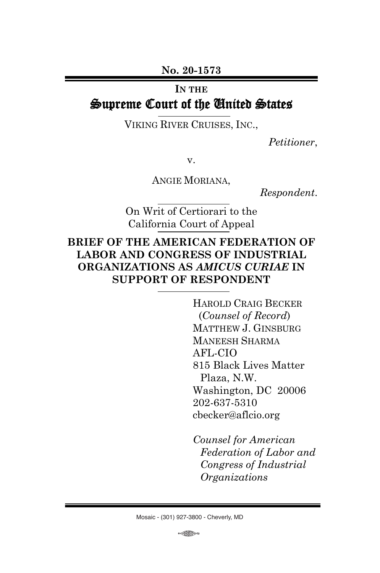**No. 20-1573**

#### **IN THE**

# Supreme Court of the United States

VIKING RIVER CRUISES, INC.,

*Petitioner*,

v.

ANGIE MORIANA,

*Respondent*.

On Writ of Certiorari to the California Court of Appeal

# **BRIEF OF THE AMERICAN FEDERATION OF LABOR AND CONGRESS OF INDUSTRIAL ORGANIZATIONS AS** *AMICUS CURIAE* **IN SUPPORT OF RESPONDENT**

HAROLD CRAIG BECKER (*Counsel of Record*) MATTHEW J. GINSBURG MANEESH SHARMA AFL-CIO 815 Black Lives Matter Plaza, N.W. Washington, DC 20006 202-637-5310 cbecker@aflcio.org

*Counsel for American Federation of Labor and Congress of Industrial Organizations*

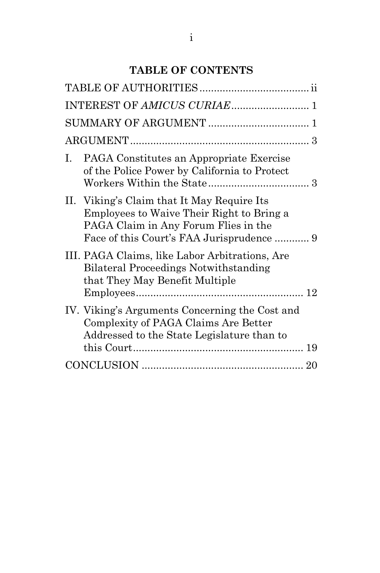# **TABLE OF CONTENTS**

| L. | PAGA Constitutes an Appropriate Exercise<br>of the Police Power by California to Protect                                             |  |
|----|--------------------------------------------------------------------------------------------------------------------------------------|--|
|    | II. Viking's Claim that It May Require Its<br>Employees to Waive Their Right to Bring a<br>PAGA Claim in Any Forum Flies in the      |  |
|    | III. PAGA Claims, like Labor Arbitrations, Are<br><b>Bilateral Proceedings Notwithstanding</b><br>that They May Benefit Multiple     |  |
|    | IV. Viking's Arguments Concerning the Cost and<br>Complexity of PAGA Claims Are Better<br>Addressed to the State Legislature than to |  |
|    |                                                                                                                                      |  |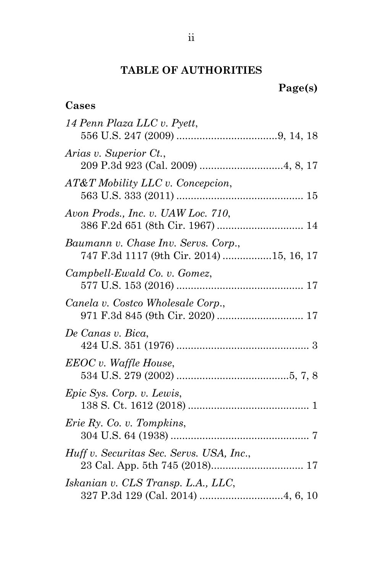# **TABLE OF AUTHORITIES**

**Cases**

| 14 Penn Plaza LLC v. Pyett,                                                     |
|---------------------------------------------------------------------------------|
| Arias v. Superior Ct.,                                                          |
| AT&T Mobility LLC v. Concepcion,                                                |
| Avon Prods., Inc. v. UAW Loc. 710,<br>386 F.2d 651 (8th Cir. 1967)  14          |
| Baumann v. Chase Inv. Servs. Corp.,<br>747 F.3d 1117 (9th Cir. 2014) 15, 16, 17 |
| Campbell-Ewald Co. v. Gomez,                                                    |
| Canela v. Costco Wholesale Corp.,                                               |
| De Canas v. Bica,                                                               |
| EEOC v. Waffle House,                                                           |
| Epic Sys. Corp. v. Lewis,                                                       |
| Eric Ry. Co. v. Tompkins,                                                       |
| Huff v. Securitas Sec. Servs. USA, Inc.,                                        |
| Iskanian v. CLS Transp. L.A., LLC,                                              |
|                                                                                 |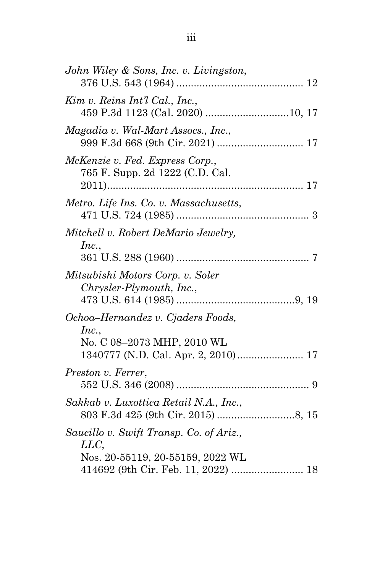| John Wiley & Sons, Inc. v. Livingston,                                                                                    |  |
|---------------------------------------------------------------------------------------------------------------------------|--|
| Kim v. Reins Int'l Cal., Inc.,                                                                                            |  |
| Magadia v. Wal-Mart Assocs., Inc.,                                                                                        |  |
| McKenzie v. Fed. Express Corp.,<br>765 F. Supp. 2d 1222 (C.D. Cal.                                                        |  |
| Metro. Life Ins. Co. v. Massachusetts,                                                                                    |  |
| Mitchell v. Robert DeMario Jewelry,<br>Inc.,                                                                              |  |
| Mitsubishi Motors Corp. v. Soler<br>Chrysler-Plymouth, Inc.,                                                              |  |
| Ochoa-Hernandez v. Cjaders Foods,<br>Inc.,<br>No. C 08-2073 MHP, 2010 WL<br>1340777 (N.D. Cal. Apr. 2, 2010) 17           |  |
| Preston v. Ferrer,                                                                                                        |  |
| Sakkab v. Luxottica Retail N.A., Inc.,                                                                                    |  |
| Saucillo v. Swift Transp. Co. of Ariz.,<br>LLC<br>Nos. 20-55119, 20-55159, 2022 WL<br>414692 (9th Cir. Feb. 11, 2022)  18 |  |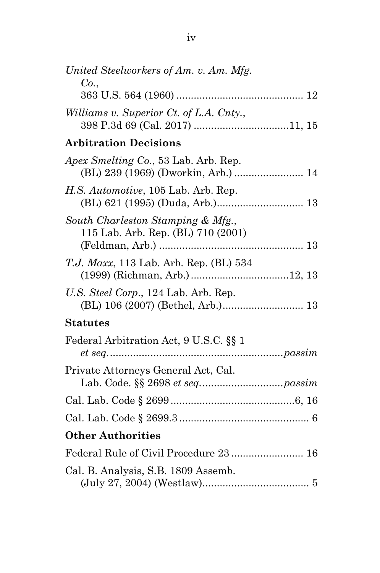| United Steelworkers of Am. v. Am. Mfg.<br>Co.,                          |
|-------------------------------------------------------------------------|
|                                                                         |
| Williams v. Superior Ct. of L.A. Cnty.,                                 |
| <b>Arbitration Decisions</b>                                            |
| Apex Smelting Co., 53 Lab. Arb. Rep.                                    |
| H.S. Automotive, 105 Lab. Arb. Rep.                                     |
| South Charleston Stamping & Mfg.,<br>115 Lab. Arb. Rep. (BL) 710 (2001) |
| <i>T.J. Maxx</i> , 113 Lab. Arb. Rep. (BL) 534                          |
| U.S. Steel Corp., 124 Lab. Arb. Rep.                                    |
| <b>Statutes</b>                                                         |
| Federal Arbitration Act, 9 U.S.C. §§ 1                                  |
| Private Attorneys General Act, Cal.                                     |
|                                                                         |
|                                                                         |
| <b>Other Authorities</b>                                                |
| Federal Rule of Civil Procedure 23  16                                  |
| Cal. B. Analysis, S.B. 1809 Assemb.                                     |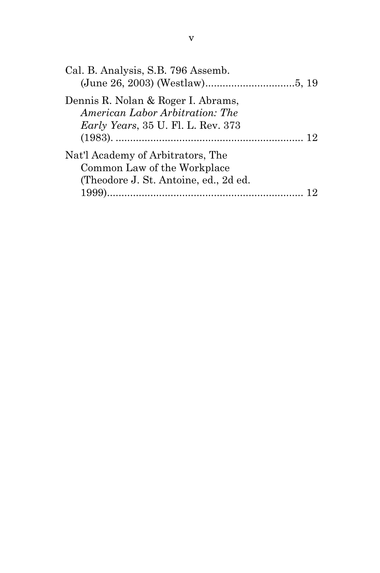| Dennis R. Nolan & Roger I. Abrams,<br>American Labor Arbitration: The<br><i>Early Years</i> , 35 U. Fl. L. Rev. 373<br>Nat'l Academy of Arbitrators, The<br>Common Law of the Workplace<br>(Theodore J. St. Antoine, ed., 2d ed. | Cal. B. Analysis, S.B. 796 Assemb. |  |
|----------------------------------------------------------------------------------------------------------------------------------------------------------------------------------------------------------------------------------|------------------------------------|--|
|                                                                                                                                                                                                                                  |                                    |  |
|                                                                                                                                                                                                                                  |                                    |  |
|                                                                                                                                                                                                                                  |                                    |  |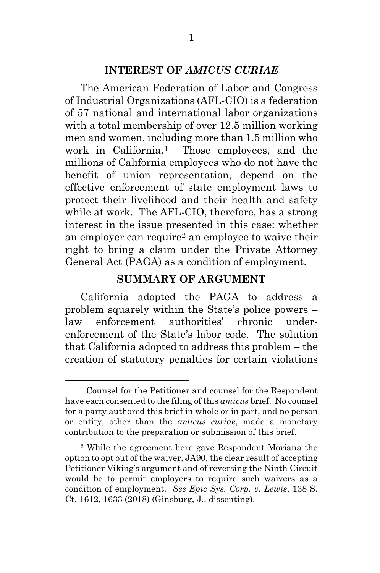#### **INTEREST OF** *AMICUS CURIAE*

The American Federation of Labor and Congress of Industrial Organizations (AFL-CIO) is a federation of 57 national and international labor organizations with a total membership of over 12.5 million working men and women, including more than 1.5 million who work in California.1 Those employees, and the millions of California employees who do not have the benefit of union representation, depend on the effective enforcement of state employment laws to protect their livelihood and their health and safety while at work. The AFL-CIO, therefore, has a strong interest in the issue presented in this case: whether an employer can require2 an employee to waive their right to bring a claim under the Private Attorney General Act (PAGA) as a condition of employment.

# **SUMMARY OF ARGUMENT**

California adopted the PAGA to address a problem squarely within the State's police powers – law enforcement authorities' chronic underenforcement of the State's labor code. The solution that California adopted to address this problem – the creation of statutory penalties for certain violations

<sup>1</sup> Counsel for the Petitioner and counsel for the Respondent have each consented to the filing of this *amicus* brief. No counsel for a party authored this brief in whole or in part, and no person or entity, other than the *amicus curiae*, made a monetary contribution to the preparation or submission of this brief.

<sup>2</sup> While the agreement here gave Respondent Moriana the option to opt out of the waiver, JA90, the clear result of accepting Petitioner Viking's argument and of reversing the Ninth Circuit would be to permit employers to require such waivers as a condition of employment. *See Epic Sys. Corp. v. Lewis*, 138 S. Ct. 1612, 1633 (2018) (Ginsburg, J., dissenting).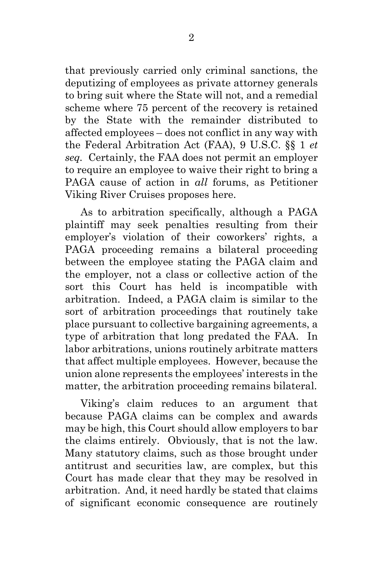that previously carried only criminal sanctions, the deputizing of employees as private attorney generals to bring suit where the State will not, and a remedial scheme where 75 percent of the recovery is retained by the State with the remainder distributed to affected employees – does not conflict in any way with the Federal Arbitration Act (FAA), 9 U.S.C. §§ 1 *et seq.* Certainly, the FAA does not permit an employer to require an employee to waive their right to bring a PAGA cause of action in *all* forums, as Petitioner Viking River Cruises proposes here.

As to arbitration specifically, although a PAGA plaintiff may seek penalties resulting from their employer's violation of their coworkers' rights, a PAGA proceeding remains a bilateral proceeding between the employee stating the PAGA claim and the employer, not a class or collective action of the sort this Court has held is incompatible with arbitration. Indeed, a PAGA claim is similar to the sort of arbitration proceedings that routinely take place pursuant to collective bargaining agreements, a type of arbitration that long predated the FAA. In labor arbitrations, unions routinely arbitrate matters that affect multiple employees. However, because the union alone represents the employees' interests in the matter, the arbitration proceeding remains bilateral.

Viking's claim reduces to an argument that because PAGA claims can be complex and awards may be high, this Court should allow employers to bar the claims entirely. Obviously, that is not the law. Many statutory claims, such as those brought under antitrust and securities law, are complex, but this Court has made clear that they may be resolved in arbitration. And, it need hardly be stated that claims of significant economic consequence are routinely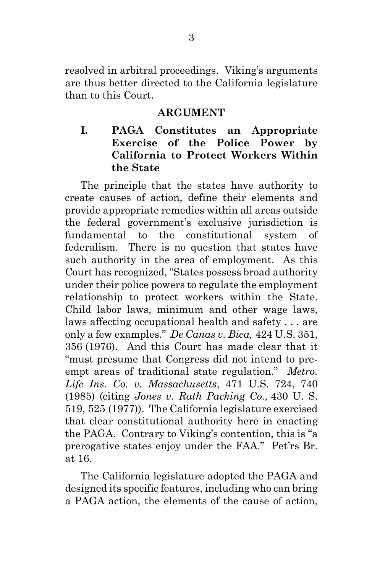resolved in arbitral proceedings. Viking's arguments are thus better directed to the California legislature than to this Court.

#### **ARGUMENT**

# **I. PAGA Constitutes an Appropriate Exercise of the Police Power by California to Protect Workers Within the State**

The principle that the states have authority to create causes of action, define their elements and provide appropriate remedies within all areas outside the federal government's exclusive jurisdiction is fundamental to the constitutional system of federalism. There is no question that states have such authority in the area of employment. As this Court has recognized, "States possess broad authority under their police powers to regulate the employment relationship to protect workers within the State. Child labor laws, minimum and other wage laws, laws affecting occupational health and safety . . . are only a few examples." *De Canas v. Bica,* 424 U.S. 351, 356 (1976). And this Court has made clear that it "must presume that Congress did not intend to preempt areas of traditional state regulation." *Metro. Life Ins. Co. v. Massachusetts*, 471 U.S. 724, 740 (1985) (citing *Jones v. Rath Packing Co.,* 430 U. S. 519, 525 (1977)). The California legislature exercised that clear constitutional authority here in enacting the PAGA. Contrary to Viking's contention, this is "a prerogative states enjoy under the FAA." Pet'rs Br. at 16.

The California legislature adopted the PAGA and designed its specific features, including who can bring a PAGA action, the elements of the cause of action,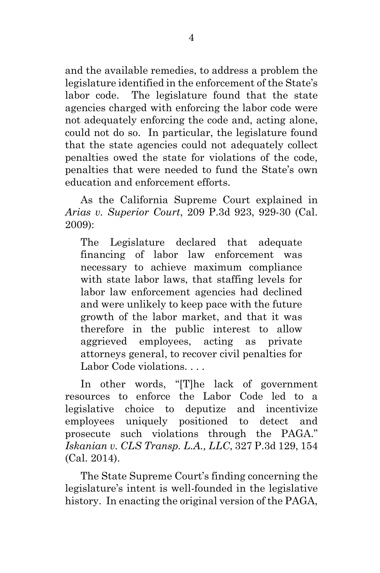and the available remedies, to address a problem the legislature identified in the enforcement of the State's labor code. The legislature found that the state agencies charged with enforcing the labor code were not adequately enforcing the code and, acting alone, could not do so. In particular, the legislature found that the state agencies could not adequately collect penalties owed the state for violations of the code, penalties that were needed to fund the State's own education and enforcement efforts.

As the California Supreme Court explained in *Arias v. Superior Court*, 209 P.3d 923, 929-30 (Cal. 2009):

The Legislature declared that adequate financing of labor law enforcement was necessary to achieve maximum compliance with state labor laws, that staffing levels for labor law enforcement agencies had declined and were unlikely to keep pace with the future growth of the labor market, and that it was therefore in the public interest to allow aggrieved employees, acting as private attorneys general, to recover civil penalties for Labor Code violations.

In other words, "[T]he lack of government resources to enforce the Labor Code led to a legislative choice to deputize and incentivize employees uniquely positioned to detect and prosecute such violations through the PAGA." *Iskanian v. CLS Transp. L.A., LLC*, 327 P.3d 129, 154 (Cal. 2014).

The State Supreme Court's finding concerning the legislature's intent is well-founded in the legislative history. In enacting the original version of the PAGA,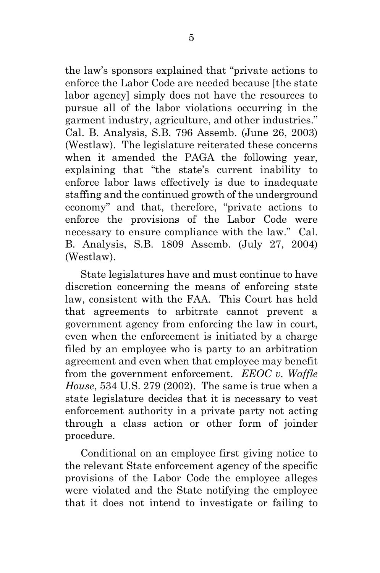the law's sponsors explained that "private actions to enforce the Labor Code are needed because [the state labor agency] simply does not have the resources to pursue all of the labor violations occurring in the garment industry, agriculture, and other industries." Cal. B. Analysis, S.B. 796 Assemb. (June 26, 2003) (Westlaw). The legislature reiterated these concerns when it amended the PAGA the following year, explaining that "the state's current inability to enforce labor laws effectively is due to inadequate staffing and the continued growth of the underground economy" and that, therefore, "private actions to enforce the provisions of the Labor Code were necessary to ensure compliance with the law." Cal. B. Analysis, S.B. 1809 Assemb. (July 27, 2004) (Westlaw).

State legislatures have and must continue to have discretion concerning the means of enforcing state law, consistent with the FAA. This Court has held that agreements to arbitrate cannot prevent a government agency from enforcing the law in court, even when the enforcement is initiated by a charge filed by an employee who is party to an arbitration agreement and even when that employee may benefit from the government enforcement. *EEOC v. Waffle House*, 534 U.S. 279 (2002). The same is true when a state legislature decides that it is necessary to vest enforcement authority in a private party not acting through a class action or other form of joinder procedure.

Conditional on an employee first giving notice to the relevant State enforcement agency of the specific provisions of the Labor Code the employee alleges were violated and the State notifying the employee that it does not intend to investigate or failing to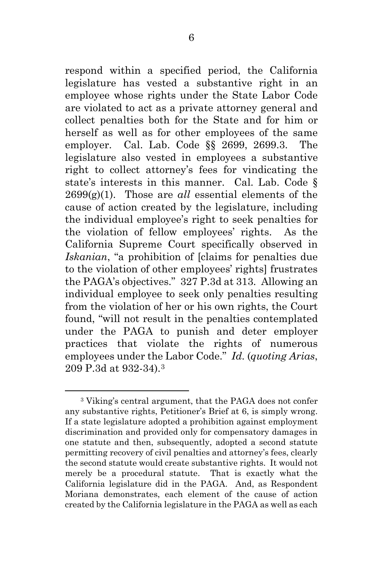respond within a specified period, the California legislature has vested a substantive right in an employee whose rights under the State Labor Code are violated to act as a private attorney general and collect penalties both for the State and for him or herself as well as for other employees of the same employer. Cal. Lab. Code §§ 2699, 2699.3. The legislature also vested in employees a substantive right to collect attorney's fees for vindicating the state's interests in this manner. Cal. Lab. Code §  $2699(g)(1)$ . Those are *all* essential elements of the cause of action created by the legislature, including the individual employee's right to seek penalties for the violation of fellow employees' rights. As the California Supreme Court specifically observed in *Iskanian*, "a prohibition of [claims for penalties due to the violation of other employees' rights] frustrates the PAGA's objectives." 327 P.3d at 313. Allowing an individual employee to seek only penalties resulting from the violation of her or his own rights, the Court found, "will not result in the penalties contemplated under the PAGA to punish and deter employer practices that violate the rights of numerous employees under the Labor Code." *Id*. (*quoting Arias*, 209 P.3d at 932-34).3

<sup>3</sup> Viking's central argument, that the PAGA does not confer any substantive rights, Petitioner's Brief at 6, is simply wrong. If a state legislature adopted a prohibition against employment discrimination and provided only for compensatory damages in one statute and then, subsequently, adopted a second statute permitting recovery of civil penalties and attorney's fees, clearly the second statute would create substantive rights. It would not merely be a procedural statute. That is exactly what the California legislature did in the PAGA. And, as Respondent Moriana demonstrates, each element of the cause of action created by the California legislature in the PAGA as well as each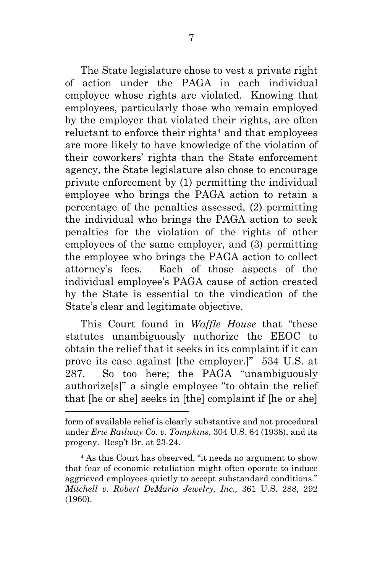The State legislature chose to vest a private right of action under the PAGA in each individual employee whose rights are violated. Knowing that employees, particularly those who remain employed by the employer that violated their rights, are often reluctant to enforce their rights<sup>4</sup> and that employees are more likely to have knowledge of the violation of their coworkers' rights than the State enforcement agency, the State legislature also chose to encourage private enforcement by (1) permitting the individual employee who brings the PAGA action to retain a percentage of the penalties assessed, (2) permitting the individual who brings the PAGA action to seek penalties for the violation of the rights of other employees of the same employer, and (3) permitting the employee who brings the PAGA action to collect attorney's fees. Each of those aspects of the individual employee's PAGA cause of action created by the State is essential to the vindication of the State's clear and legitimate objective.

This Court found in *Waffle House* that "these statutes unambiguously authorize the EEOC to obtain the relief that it seeks in its complaint if it can prove its case against [the employer.]" 534 U.S. at 287. So too here; the PAGA "unambiguously authorize[s]" a single employee "to obtain the relief that [he or she] seeks in [the] complaint if [he or she]

form of available relief is clearly substantive and not procedural under *Erie Railway Co. v. Tompkins*, 304 U.S. 64 (1938), and its progeny. Resp't Br. at 23-24.

<sup>4</sup> As this Court has observed, "it needs no argument to show that fear of economic retaliation might often operate to induce aggrieved employees quietly to accept substandard conditions." *Mitchell v. Robert DeMario Jewelry, Inc.,* 361 U.S. 288, 292 (1960).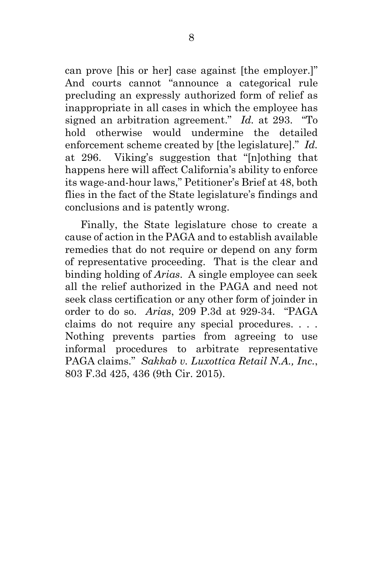can prove [his or her] case against [the employer.]" And courts cannot "announce a categorical rule precluding an expressly authorized form of relief as inappropriate in all cases in which the employee has signed an arbitration agreement." *Id.* at 293. "To hold otherwise would undermine the detailed enforcement scheme created by [the legislature]." *Id.* at 296. Viking's suggestion that "[n]othing that happens here will affect California's ability to enforce its wage-and-hour laws," Petitioner's Brief at 48, both flies in the fact of the State legislature's findings and conclusions and is patently wrong.

Finally, the State legislature chose to create a cause of action in the PAGA and to establish available remedies that do not require or depend on any form of representative proceeding. That is the clear and binding holding of *Arias*. A single employee can seek all the relief authorized in the PAGA and need not seek class certification or any other form of joinder in order to do so. *Arias*, 209 P.3d at 929-34. "PAGA claims do not require any special procedures. . . . Nothing prevents parties from agreeing to use informal procedures to arbitrate representative PAGA claims." *Sakkab v. Luxottica Retail N.A., Inc.*, 803 F.3d 425, 436 (9th Cir. 2015).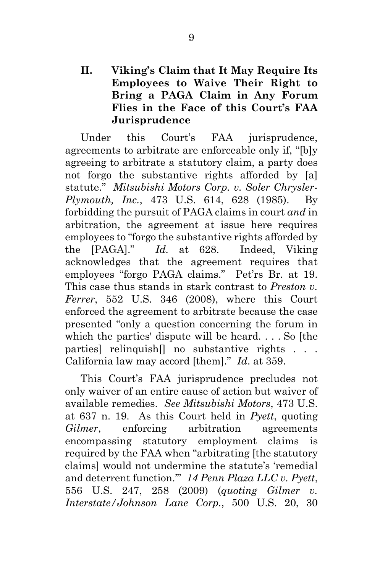# **II. Viking's Claim that It May Require Its Employees to Waive Their Right to Bring a PAGA Claim in Any Forum Flies in the Face of this Court's FAA Jurisprudence**

Under this Court's FAA jurisprudence, agreements to arbitrate are enforceable only if, "[b]y agreeing to arbitrate a statutory claim, a party does not forgo the substantive rights afforded by [a] statute." *Mitsubishi Motors Corp. v. Soler Chrysler-Plymouth, Inc.*, 473 U.S. 614, 628 (1985). By forbidding the pursuit of PAGA claims in court *and* in arbitration, the agreement at issue here requires employees to "forgo the substantive rights afforded by the [PAGA]." *Id.* at 628. Indeed, Viking acknowledges that the agreement requires that employees "forgo PAGA claims." Pet'rs Br. at 19. This case thus stands in stark contrast to *Preston v. Ferrer*, 552 U.S. 346 (2008), where this Court enforced the agreement to arbitrate because the case presented "only a question concerning the forum in which the parties' dispute will be heard. . . . So [the parties] relinquish<sup>[]</sup> no substantive rights . . . California law may accord [them]." *Id*. at 359.

This Court's FAA jurisprudence precludes not only waiver of an entire cause of action but waiver of available remedies. *See Mitsubishi Motors*, 473 U.S. at 637 n. 19. As this Court held in *Pyett*, quoting *Gilmer*, enforcing arbitration agreements encompassing statutory employment claims is required by the FAA when "arbitrating [the statutory claims] would not undermine the statute's 'remedial and deterrent function.'" *14 Penn Plaza LLC v. Pyett*, 556 U.S. 247, 258 (2009) (*quoting Gilmer v. Interstate/Johnson Lane Corp.*, 500 U.S. 20, 30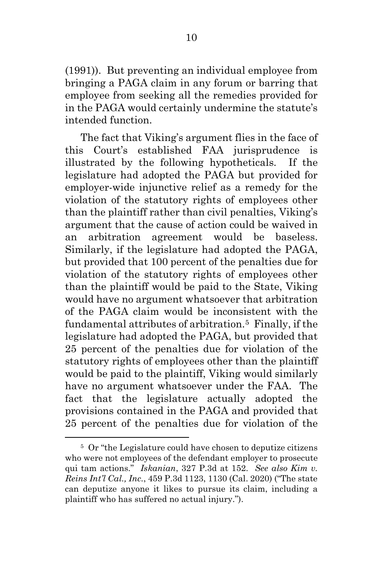(1991)). But preventing an individual employee from bringing a PAGA claim in any forum or barring that employee from seeking all the remedies provided for in the PAGA would certainly undermine the statute's intended function.

The fact that Viking's argument flies in the face of this Court's established FAA jurisprudence is illustrated by the following hypotheticals. If the legislature had adopted the PAGA but provided for employer-wide injunctive relief as a remedy for the violation of the statutory rights of employees other than the plaintiff rather than civil penalties, Viking's argument that the cause of action could be waived in an arbitration agreement would be baseless. Similarly, if the legislature had adopted the PAGA, but provided that 100 percent of the penalties due for violation of the statutory rights of employees other than the plaintiff would be paid to the State, Viking would have no argument whatsoever that arbitration of the PAGA claim would be inconsistent with the fundamental attributes of arbitration.5 Finally, if the legislature had adopted the PAGA, but provided that 25 percent of the penalties due for violation of the statutory rights of employees other than the plaintiff would be paid to the plaintiff, Viking would similarly have no argument whatsoever under the FAA. The fact that the legislature actually adopted the provisions contained in the PAGA and provided that 25 percent of the penalties due for violation of the

<sup>5</sup> Or "the Legislature could have chosen to deputize citizens who were not employees of the defendant employer to prosecute qui tam actions." *Iskanian*, 327 P.3d at 152. *See also Kim v. Reins Int'l Cal., Inc.*, 459 P.3d 1123, 1130 (Cal. 2020) ("The state can deputize anyone it likes to pursue its claim, including a plaintiff who has suffered no actual injury.").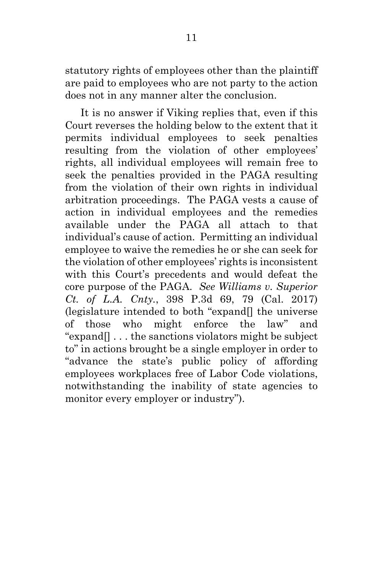statutory rights of employees other than the plaintiff are paid to employees who are not party to the action does not in any manner alter the conclusion.

It is no answer if Viking replies that, even if this Court reverses the holding below to the extent that it permits individual employees to seek penalties resulting from the violation of other employees' rights, all individual employees will remain free to seek the penalties provided in the PAGA resulting from the violation of their own rights in individual arbitration proceedings. The PAGA vests a cause of action in individual employees and the remedies available under the PAGA all attach to that individual's cause of action. Permitting an individual employee to waive the remedies he or she can seek for the violation of other employees' rights is inconsistent with this Court's precedents and would defeat the core purpose of the PAGA. *See Williams v. Superior Ct. of L.A. Cnty.*, 398 P.3d 69, 79 (Cal. 2017) (legislature intended to both "expand[] the universe of those who might enforce the law" and "expand[] . . . the sanctions violators might be subject to" in actions brought be a single employer in order to "advance the state's public policy of affording employees workplaces free of Labor Code violations, notwithstanding the inability of state agencies to monitor every employer or industry").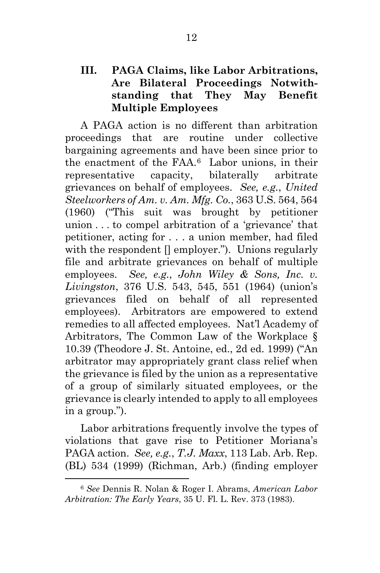# **III. PAGA Claims, like Labor Arbitrations, Are Bilateral Proceedings Notwithstanding that They May Benefit Multiple Employees**

A PAGA action is no different than arbitration proceedings that are routine under collective bargaining agreements and have been since prior to the enactment of the FAA.6 Labor unions, in their representative capacity, bilaterally arbitrate grievances on behalf of employees. *See, e.g.*, *United Steelworkers of Am. v. Am. Mfg. Co.*, 363 U.S. 564, 564 (1960) ("This suit was brought by petitioner union . . . to compel arbitration of a 'grievance' that petitioner, acting for . . . a union member, had filed with the respondent  $\Box$  employer."). Unions regularly file and arbitrate grievances on behalf of multiple employees. *See, e.g.*, *John Wiley & Sons, Inc. v. Livingston*, 376 U.S. 543, 545, 551 (1964) (union's grievances filed on behalf of all represented employees). Arbitrators are empowered to extend remedies to all affected employees. Nat'l Academy of Arbitrators, The Common Law of the Workplace § 10.39 (Theodore J. St. Antoine, ed., 2d ed. 1999) ("An arbitrator may appropriately grant class relief when the grievance is filed by the union as a representative of a group of similarly situated employees, or the grievance is clearly intended to apply to all employees in a group.").

Labor arbitrations frequently involve the types of violations that gave rise to Petitioner Moriana's PAGA action. *See, e.g.*, *T.J. Maxx*, 113 Lab. Arb. Rep. (BL) 534 (1999) (Richman, Arb.) (finding employer

<sup>6</sup> *See* Dennis R. Nolan & Roger I. Abrams, *American Labor Arbitration: The Early Years*, 35 U. Fl. L. Rev. 373 (1983).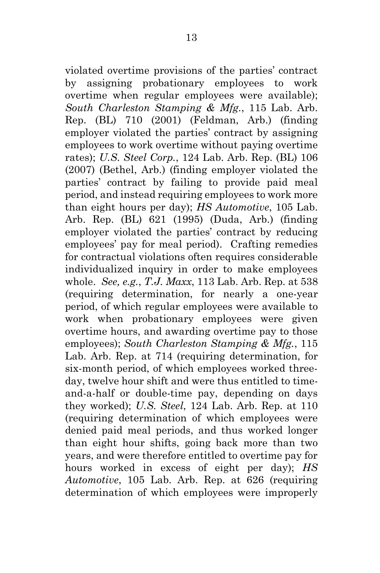violated overtime provisions of the parties' contract by assigning probationary employees to work overtime when regular employees were available); *South Charleston Stamping & Mfg.*, 115 Lab. Arb. Rep. (BL) 710 (2001) (Feldman, Arb.) (finding employer violated the parties' contract by assigning employees to work overtime without paying overtime rates); *U.S. Steel Corp.*, 124 Lab. Arb. Rep. (BL) 106 (2007) (Bethel, Arb.) (finding employer violated the parties' contract by failing to provide paid meal period, and instead requiring employees to work more than eight hours per day); *HS Automotive*, 105 Lab. Arb. Rep. (BL) 621 (1995) (Duda, Arb.) (finding employer violated the parties' contract by reducing employees' pay for meal period). Crafting remedies for contractual violations often requires considerable individualized inquiry in order to make employees whole. *See, e.g.*, *T.J. Maxx*, 113 Lab. Arb. Rep. at 538 (requiring determination, for nearly a one-year period, of which regular employees were available to work when probationary employees were given overtime hours, and awarding overtime pay to those employees); *South Charleston Stamping & Mfg.*, 115 Lab. Arb. Rep. at 714 (requiring determination, for six-month period, of which employees worked threeday, twelve hour shift and were thus entitled to timeand-a-half or double-time pay, depending on days they worked); *U.S. Steel*, 124 Lab. Arb. Rep. at 110 (requiring determination of which employees were denied paid meal periods, and thus worked longer than eight hour shifts, going back more than two years, and were therefore entitled to overtime pay for hours worked in excess of eight per day); *HS Automotive*, 105 Lab. Arb. Rep. at 626 (requiring determination of which employees were improperly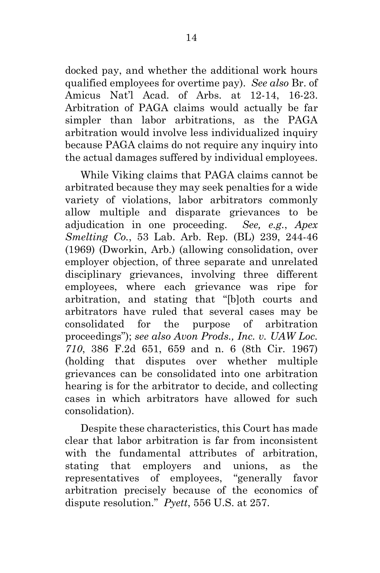docked pay, and whether the additional work hours qualified employees for overtime pay). *See also* Br. of Amicus Nat'l Acad. of Arbs. at 12-14, 16-23. Arbitration of PAGA claims would actually be far simpler than labor arbitrations, as the PAGA arbitration would involve less individualized inquiry because PAGA claims do not require any inquiry into the actual damages suffered by individual employees.

While Viking claims that PAGA claims cannot be arbitrated because they may seek penalties for a wide variety of violations, labor arbitrators commonly allow multiple and disparate grievances to be adjudication in one proceeding. *See, e.g.*, *Apex Smelting Co.*, 53 Lab. Arb. Rep. (BL) 239, 244-46 (1969) (Dworkin, Arb.) (allowing consolidation, over employer objection, of three separate and unrelated disciplinary grievances, involving three different employees, where each grievance was ripe for arbitration, and stating that "[b]oth courts and arbitrators have ruled that several cases may be consolidated for the purpose of arbitration proceedings"); *see also Avon Prods., Inc. v. UAW Loc. 710*, 386 F.2d 651, 659 and n. 6 (8th Cir. 1967) (holding that disputes over whether multiple grievances can be consolidated into one arbitration hearing is for the arbitrator to decide, and collecting cases in which arbitrators have allowed for such consolidation).

Despite these characteristics, this Court has made clear that labor arbitration is far from inconsistent with the fundamental attributes of arbitration, stating that employers and unions, as the representatives of employees, "generally favor arbitration precisely because of the economics of dispute resolution." *Pyett*, 556 U.S. at 257.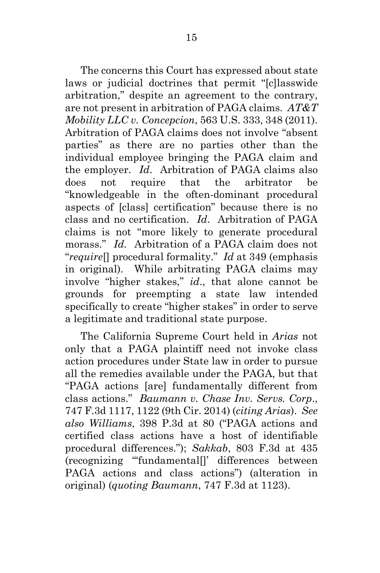The concerns this Court has expressed about state laws or judicial doctrines that permit "[c]lasswide arbitration," despite an agreement to the contrary, are not present in arbitration of PAGA claims. *AT&T Mobility LLC v. Concepcion*, 563 U.S. 333, 348 (2011). Arbitration of PAGA claims does not involve "absent parties" as there are no parties other than the individual employee bringing the PAGA claim and the employer. *Id*. Arbitration of PAGA claims also does not require that the arbitrator be "knowledgeable in the often-dominant procedural aspects of [class] certification" because there is no class and no certification. *Id*. Arbitration of PAGA claims is not "more likely to generate procedural morass." *Id.* Arbitration of a PAGA claim does not "*require*[] procedural formality." *Id* at 349 (emphasis in original). While arbitrating PAGA claims may involve "higher stakes," *id*., that alone cannot be grounds for preempting a state law intended specifically to create "higher stakes" in order to serve a legitimate and traditional state purpose.

The California Supreme Court held in *Arias* not only that a PAGA plaintiff need not invoke class action procedures under State law in order to pursue all the remedies available under the PAGA, but that "PAGA actions [are] fundamentally different from class actions." *Baumann v. Chase Inv. Servs. Corp*., 747 F.3d 1117, 1122 (9th Cir. 2014) (*citing Arias*). *See also Williams*, 398 P.3d at 80 ("PAGA actions and certified class actions have a host of identifiable procedural differences."); *Sakkab*, 803 F.3d at 435 (recognizing "'fundamental[]' differences between PAGA actions and class actions") (alteration in original) (*quoting Baumann*, 747 F.3d at 1123).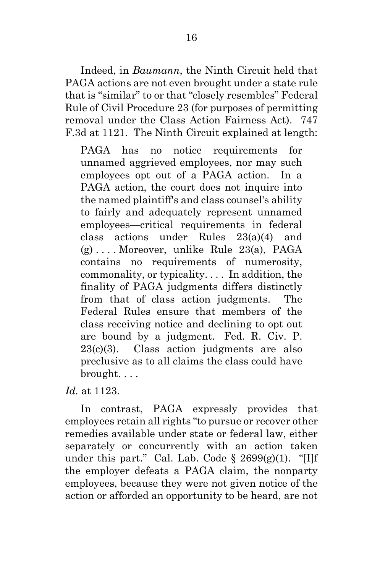Indeed, in *Baumann*, the Ninth Circuit held that PAGA actions are not even brought under a state rule that is "similar" to or that "closely resembles" Federal Rule of Civil Procedure 23 (for purposes of permitting removal under the Class Action Fairness Act). 747 F.3d at 1121. The Ninth Circuit explained at length:

PAGA has no notice requirements for unnamed aggrieved employees, nor may such employees opt out of a PAGA action. In a PAGA action, the court does not inquire into the named plaintiff's and class counsel's ability to fairly and adequately represent unnamed employees—critical requirements in federal class actions under Rules 23(a)(4) and (g) . . . . Moreover, unlike Rule 23(a), PAGA contains no requirements of numerosity, commonality, or typicality. . . . In addition, the finality of PAGA judgments differs distinctly from that of class action judgments. The Federal Rules ensure that members of the class receiving notice and declining to opt out are bound by a judgment. Fed. R. Civ. P. 23(c)(3). Class action judgments are also preclusive as to all claims the class could have brought. . . .

*Id.* at 1123.

In contrast, PAGA expressly provides that employees retain all rights "to pursue or recover other remedies available under state or federal law, either separately or concurrently with an action taken under this part." Cal. Lab. Code  $\S$  2699(g)(1). "[I]f the employer defeats a PAGA claim, the nonparty employees, because they were not given notice of the action or afforded an opportunity to be heard, are not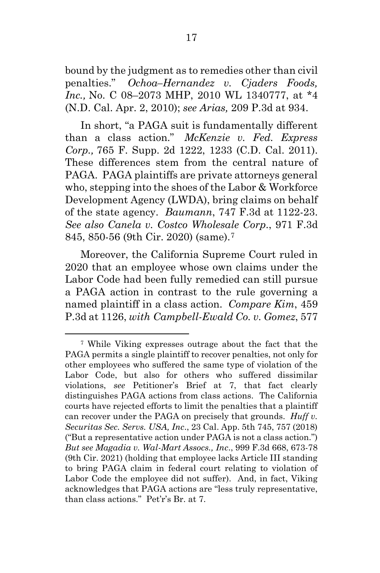bound by the judgment as to remedies other than civil penalties." *Ochoa–Hernandez v. Cjaders Foods, Inc.,* No. C 08–2073 MHP, 2010 WL 1340777, at \*4 (N.D. Cal. Apr. 2, 2010); *see Arias,* 209 P.3d at 934.

In short, "a PAGA suit is fundamentally different than a class action." *McKenzie v. Fed. Express Corp.,* 765 F. Supp. 2d 1222, 1233 (C.D. Cal. 2011). These differences stem from the central nature of PAGA. PAGA plaintiffs are private attorneys general who, stepping into the shoes of the Labor & Workforce Development Agency (LWDA), bring claims on behalf of the state agency. *Baumann*, 747 F.3d at 1122-23. *See also Canela v. Costco Wholesale Corp*., 971 F.3d 845, 850-56 (9th Cir. 2020) (same).7

Moreover, the California Supreme Court ruled in 2020 that an employee whose own claims under the Labor Code had been fully remedied can still pursue a PAGA action in contrast to the rule governing a named plaintiff in a class action. *Compare Kim*, 459 P.3d at 1126, *with Campbell-Ewald Co. v. Gomez*, 577

<sup>7</sup> While Viking expresses outrage about the fact that the PAGA permits a single plaintiff to recover penalties, not only for other employees who suffered the same type of violation of the Labor Code, but also for others who suffered dissimilar violations, *see* Petitioner's Brief at 7, that fact clearly distinguishes PAGA actions from class actions. The California courts have rejected efforts to limit the penalties that a plaintiff can recover under the PAGA on precisely that grounds. *Huff v. Securitas Sec. Servs. USA, Inc*., 23 Cal. App. 5th 745, 757 (2018) ("But a representative action under PAGA is not a class action.") *But see Magadia v. Wal-Mart Assocs., Inc*., 999 F.3d 668, 673-78 (9th Cir. 2021) (holding that employee lacks Article III standing to bring PAGA claim in federal court relating to violation of Labor Code the employee did not suffer). And, in fact, Viking acknowledges that PAGA actions are "less truly representative, than class actions." Pet'r's Br. at 7.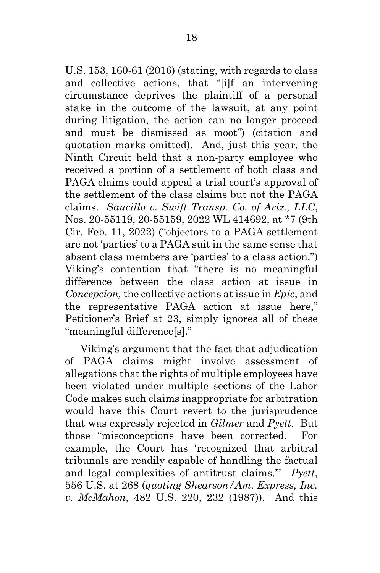U.S. 153, 160-61 (2016) (stating, with regards to class and collective actions, that "[i]f an intervening circumstance deprives the plaintiff of a personal stake in the outcome of the lawsuit, at any point during litigation, the action can no longer proceed and must be dismissed as moot") (citation and quotation marks omitted). And, just this year, the Ninth Circuit held that a non-party employee who received a portion of a settlement of both class and PAGA claims could appeal a trial court's approval of the settlement of the class claims but not the PAGA claims. *Saucillo v. Swift Transp. Co. of Ariz., LLC*, Nos. 20-55119, 20-55159, 2022 WL 414692, at \*7 (9th Cir. Feb. 11, 2022) ("objectors to a PAGA settlement are not 'parties' to a PAGA suit in the same sense that absent class members are 'parties' to a class action.") Viking's contention that "there is no meaningful difference between the class action at issue in *Concepcion,* the collective actions at issue in *Epic*, and the representative PAGA action at issue here," Petitioner's Brief at 23, simply ignores all of these "meaningful difference[s]."

Viking's argument that the fact that adjudication of PAGA claims might involve assessment of allegations that the rights of multiple employees have been violated under multiple sections of the Labor Code makes such claims inappropriate for arbitration would have this Court revert to the jurisprudence that was expressly rejected in *Gilmer* and *Pyett*. But those "misconceptions have been corrected. For example, the Court has 'recognized that arbitral tribunals are readily capable of handling the factual and legal complexities of antitrust claims.'" *Pyett*, 556 U.S. at 268 (*quoting Shearson/Am. Express, Inc. v. McMahon*, 482 U.S. 220, 232 (1987)). And this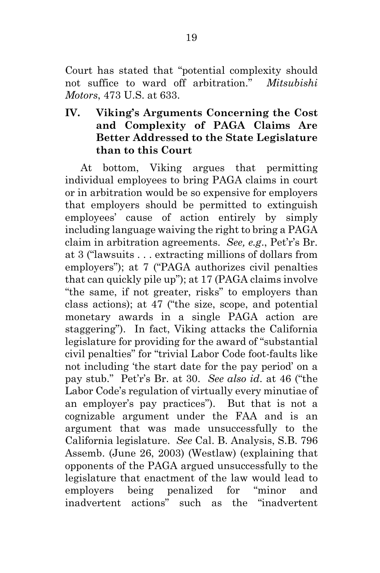Court has stated that "potential complexity should not suffice to ward off arbitration." *Mitsubishi Motors*, 473 U.S. at 633.

# **IV. Viking's Arguments Concerning the Cost and Complexity of PAGA Claims Are Better Addressed to the State Legislature than to this Court**

At bottom, Viking argues that permitting individual employees to bring PAGA claims in court or in arbitration would be so expensive for employers that employers should be permitted to extinguish employees' cause of action entirely by simply including language waiving the right to bring a PAGA claim in arbitration agreements. *See, e.g*., Pet'r's Br. at 3 ("lawsuits . . . extracting millions of dollars from employers"); at 7 ("PAGA authorizes civil penalties that can quickly pile up"); at 17 (PAGA claims involve "the same, if not greater, risks" to employers than class actions); at 47 ("the size, scope, and potential monetary awards in a single PAGA action are staggering"). In fact, Viking attacks the California legislature for providing for the award of "substantial civil penalties" for "trivial Labor Code foot-faults like not including 'the start date for the pay period' on a pay stub." Pet'r's Br. at 30. *See also id*. at 46 ("the Labor Code's regulation of virtually every minutiae of an employer's pay practices"). But that is not a cognizable argument under the FAA and is an argument that was made unsuccessfully to the California legislature. *See* Cal. B. Analysis, S.B. 796 Assemb. (June 26, 2003) (Westlaw) (explaining that opponents of the PAGA argued unsuccessfully to the legislature that enactment of the law would lead to employers being penalized for "minor and inadvertent actions" such as the "inadvertent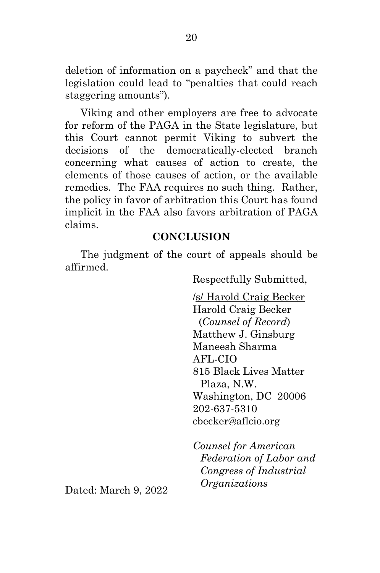deletion of information on a paycheck" and that the legislation could lead to "penalties that could reach staggering amounts").

Viking and other employers are free to advocate for reform of the PAGA in the State legislature, but this Court cannot permit Viking to subvert the decisions of the democratically-elected branch concerning what causes of action to create, the elements of those causes of action, or the available remedies. The FAA requires no such thing. Rather, the policy in favor of arbitration this Court has found implicit in the FAA also favors arbitration of PAGA claims.

#### **CONCLUSION**

The judgment of the court of appeals should be affirmed.

Respectfully Submitted,

/s/ Harold Craig Becker Harold Craig Becker (*Counsel of Record*) Matthew J. Ginsburg Maneesh Sharma AFL-CIO 815 Black Lives Matter Plaza, N.W. Washington, DC 20006 202-637-5310 cbecker@aflcio.org

*Counsel for American Federation of Labor and Congress of Industrial Organizations*

Dated: March 9, 2022